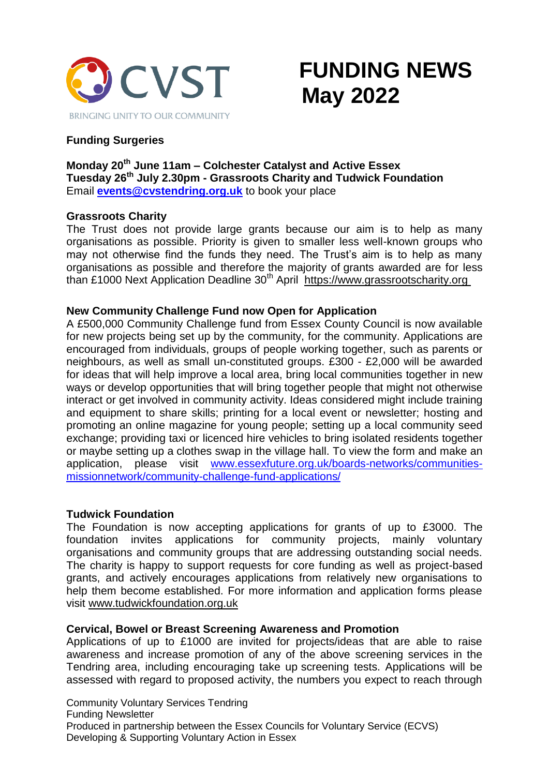

# **FUNDING NEWS May 2022**

# **Funding Surgeries**

# **Monday 20th June 11am – Colchester Catalyst and Active Essex Tuesday 26th July 2.30pm - Grassroots Charity and Tudwick Foundation** Email **[events@cvstendring.org.uk](mailto:events@cvstendring.org.uk)** to book your place

# **Grassroots Charity**

The Trust does not provide large grants because our aim is to help as many organisations as possible. Priority is given to smaller less well-known groups who may not otherwise find the funds they need. The Trust's aim is to help as many organisations as possible and therefore the majority of grants awarded are for less than £1000 Next Application Deadline 30th April [https://www.grassrootscharity.org](https://cvstendring.us20.list-manage.com/track/click?u=211fe0c8e76132fd8ca78bce1&id=0723ca3154&e=f8c4896446)

# **New Community Challenge Fund now Open for Application**

A £500,000 Community Challenge fund from Essex County Council is now available for new projects being set up by the community, for the community. Applications are encouraged from individuals, groups of people working together, such as parents or neighbours, as well as small un-constituted groups. £300 - £2,000 will be awarded for ideas that will help improve a local area, bring local communities together in new ways or develop opportunities that will bring together people that might not otherwise interact or get involved in community activity. Ideas considered might include training and equipment to share skills; printing for a local event or newsletter; hosting and promoting an online magazine for young people; setting up a local community seed exchange; providing taxi or licenced hire vehicles to bring isolated residents together or maybe setting up a clothes swap in the village hall. To view the form and make an application, please visit [www.essexfuture.org.uk/boards-networks/communities](http://www.essexfuture.org.uk/boards-networks/communities-missionnetwork/community-challenge-fund-applications/)[missionnetwork/community-challenge-fund-applications/](http://www.essexfuture.org.uk/boards-networks/communities-missionnetwork/community-challenge-fund-applications/)

# **Tudwick Foundation**

The Foundation is now accepting applications for grants of up to £3000. The foundation invites applications for community projects, mainly voluntary organisations and community groups that are addressing outstanding social needs. The charity is happy to support requests for core funding as well as project-based grants, and actively encourages applications from relatively new organisations to help them become established. For more information and application forms please visit [www.tudwickfoundation.org.uk](http://www.tudwickfoundation.org.uk/)

# **Cervical, Bowel or Breast Screening Awareness and Promotion**

Applications of up to £1000 are invited for projects/ideas that are able to raise awareness and increase promotion of any of the above screening services in the Tendring area, including encouraging take up screening tests. Applications will be assessed with regard to proposed activity, the numbers you expect to reach through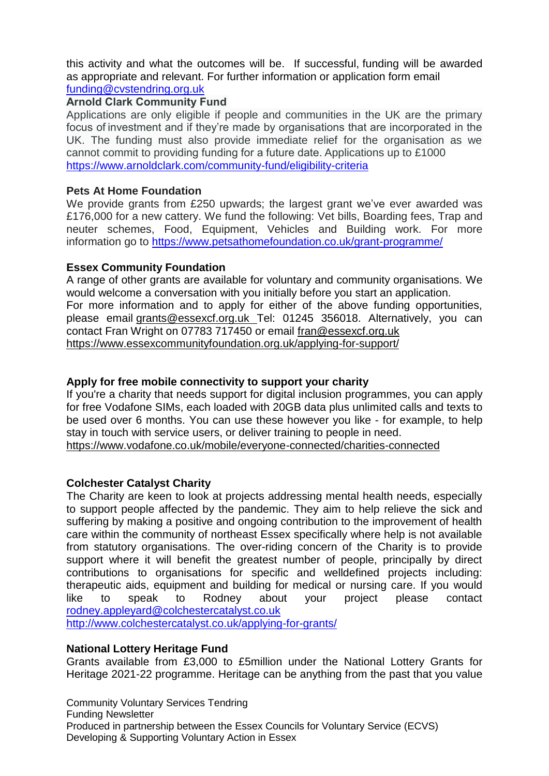this activity and what the outcomes will be. If successful, funding will be awarded as appropriate and relevant. For further information or application form email [funding@cvstendring.org.uk](mailto:funding@cvstendring.org.uk)

# **Arnold Clark Community Fund**

Applications are only eligible if people and communities in the UK are the primary focus of investment and if they're made by organisations that are incorporated in the UK. The funding must also provide immediate relief for the organisation as we cannot commit to providing funding for a future date. Applications up to £1000 <https://www.arnoldclark.com/community-fund/eligibility-criteria>

#### **Pets At Home Foundation**

We provide grants from £250 upwards; the largest grant we've ever awarded was £176,000 for a new cattery. We fund the following: Vet bills, Boarding fees, Trap and neuter schemes, Food, Equipment, Vehicles and Building work. For more information go to <https://www.petsathomefoundation.co.uk/grant-programme/>

# **Essex Community Foundation**

A range of other grants are available for voluntary and community organisations. We would welcome a conversation with you initially before you start an application. For more information and to apply for either of the above funding opportunities, please email [grants@essexcf.org.uk](http://grants@essexcf.org.uk/) Tel: 01245 356018. Alternatively, you can contact Fran Wright on 07783 717450 or email [fran@essexcf.org.uk](mailto:fran@essexcf.org.uk) <https://www.essexcommunityfoundation.org.uk/applying-for-support/>

# **Apply for free mobile connectivity to support your charity**

If you're a charity that needs support for digital inclusion programmes, you can apply for free Vodafone SIMs, each loaded with 20GB data plus unlimited calls and texts to be used over 6 months. You can use these however you like - for example, to help stay in touch with service users, or deliver training to people in need. <https://www.vodafone.co.uk/mobile/everyone-connected/charities-connected>

# **Colchester Catalyst Charity**

The Charity are keen to look at projects addressing mental health needs, especially to support people affected by the pandemic. They aim to help relieve the sick and suffering by making a positive and ongoing contribution to the improvement of health care within the community of northeast Essex specifically where help is not available from statutory organisations. The over-riding concern of the Charity is to provide support where it will benefit the greatest number of people, principally by direct contributions to organisations for specific and welldefined projects including: therapeutic aids, equipment and building for medical or nursing care. If you would like to speak to Rodney about your project please contact [rodney.appleyard@colchestercatalyst.co.uk](mailto:rodney.appleyard@colchestercatalyst.co.uk)

<http://www.colchestercatalyst.co.uk/applying-for-grants/>

# **National Lottery Heritage Fund**

Grants available from £3,000 to £5million under the National Lottery Grants for Heritage 2021-22 programme. Heritage can be anything from the past that you value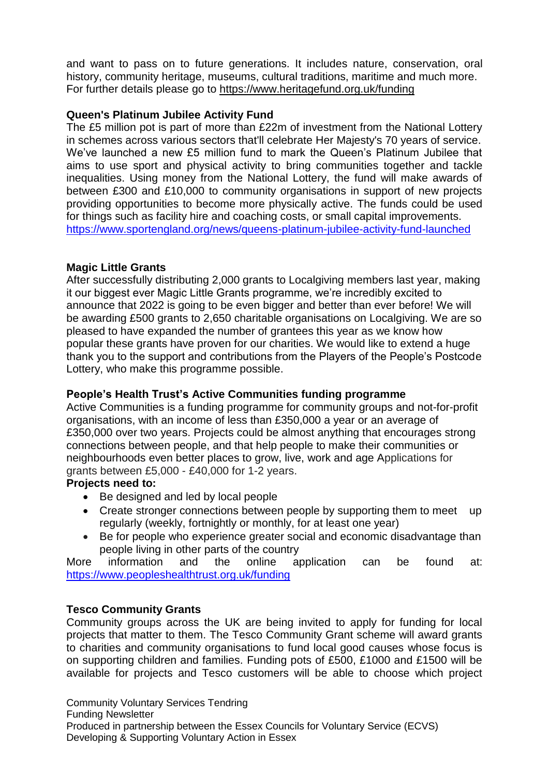and want to pass on to future generations. It includes nature, conservation, oral history, community heritage, museums, cultural traditions, maritime and [much](https://www.heritagefund.org.uk/funding/what-we-fund) more. For further details please go to <https://www.heritagefund.org.uk/funding>

# **Queen's Platinum Jubilee Activity Fund**

The £5 million pot is part of more than £22m of investment from the National Lottery in schemes across various sectors that'll celebrate Her Majesty's 70 years of service. We've launched a new £5 million fund to mark the Queen's Platinum Jubilee that aims to use sport and physical activity to bring communities together and tackle inequalities. Using money from the National Lottery, the fund will make awards of between £300 and £10,000 to community organisations in support of new projects providing opportunities to become more physically active. The funds could be used for things such as facility hire and coaching costs, or small capital improvements. <https://www.sportengland.org/news/queens-platinum-jubilee-activity-fund-launched>

# **Magic Little Grants**

After successfully distributing 2,000 grants to Localgiving members last year, making it our biggest ever Magic Little Grants programme, we're incredibly excited to announce that 2022 is going to be even bigger and better than ever before! We will be awarding £500 grants to 2,650 charitable organisations on Localgiving. We are so pleased to have expanded the number of grantees this year as we know how popular these grants have proven for our charities. We would like to extend a huge thank you to the support and contributions from the Players of the People's Postcode Lottery, who make this programme possible.

# **People's Health Trust's Active Communities funding programme**

Active Communities is a funding programme for community groups and not-for-profit organisations, with an income of less than £350,000 a year or an average of £350,000 over two years. Projects could be almost anything that encourages strong connections between people, and that help people to make their communities or neighbourhoods even better places to grow, live, work and age Applications for grants between £5,000 - £40,000 for 1-2 years.

# **Projects need to:**

- Be designed and led by local people
- Create stronger connections between people by supporting them to meet up regularly (weekly, fortnightly or monthly, for at least one year)
- Be for people who experience greater social and economic disadvantage than people living in other parts of the country

More information and the online application can be found at: <https://www.peopleshealthtrust.org.uk/funding>

# **Tesco Community Grants**

Community groups across the UK are being invited to apply for funding for local projects that matter to them. The Tesco Community Grant scheme will award grants to charities and community organisations to fund local good causes whose focus is on supporting children and families. Funding pots of £500, £1000 and £1500 will be available for projects and Tesco customers will be able to choose which project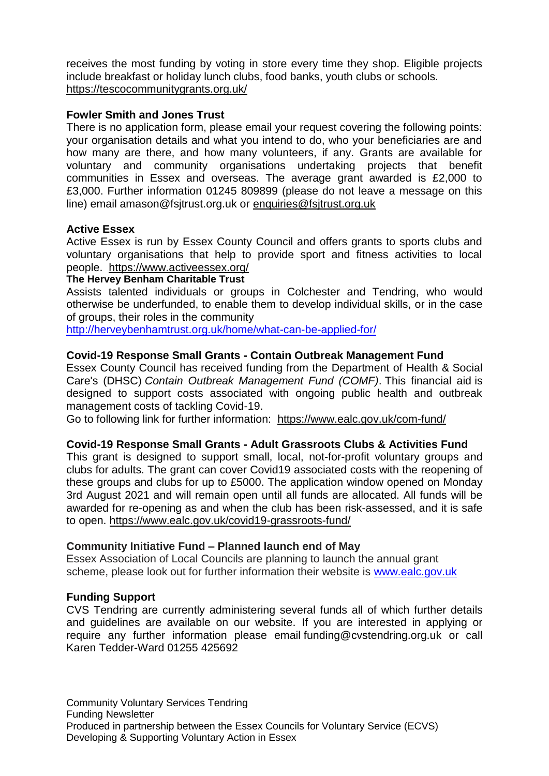receives the most funding by voting in store every time they shop. Eligible projects include breakfast or holiday lunch clubs, food banks, youth clubs or schools. <https://tescocommunitygrants.org.uk/>

# **Fowler Smith and Jones Trust**

There is no application form, please email your request covering the following points: your organisation details and what you intend to do, who your beneficiaries are and how many are there, and how many volunteers, if any. Grants are available for voluntary and community organisations undertaking projects that benefit communities in Essex and overseas. The average grant awarded is £2,000 to £3,000. Further information 01245 809899 (please do not leave a message on this line) email amason@fsjtrust.org.uk or [enquiries@fsjtrust.org.uk](mailto:enquiries@fsjtrust.org.uk)

#### **Active Essex**

Active Essex is run by Essex County Council and offers grants to sports clubs and voluntary organisations that help to provide sport and fitness activities to local people. <https://www.activeessex.org/>

#### **The Hervey Benham Charitable Trust**

Assists talented individuals or groups in Colchester and Tendring, who would otherwise be underfunded, to enable them to develop individual skills, or in the case of groups, their roles in the community

<http://herveybenhamtrust.org.uk/home/what-can-be-applied-for/>

# **Covid-19 Response Small Grants - Contain Outbreak Management Fund**

Essex County Council has received funding from the Department of Health & Social Care's (DHSC) *Contain Outbreak Management Fund (COMF)*. This financial aid is designed to support costs associated with ongoing public health and outbreak management costs of tackling Covid-19.

Go to following link for further information: <https://www.ealc.gov.uk/com-fund/>

# **Covid-19 Response Small Grants - Adult Grassroots Clubs & Activities Fund**

This grant is designed to support small, local, not-for-profit voluntary groups and clubs for adults. The grant can cover Covid19 associated costs with the reopening of these groups and clubs for up to £5000. The application window opened on Monday 3rd August 2021 and will remain open until all funds are allocated. All funds will be awarded for re-opening as and when the club has been risk-assessed, and it is safe to open. <https://www.ealc.gov.uk/covid19-grassroots-fund/>

#### **Community Initiative Fund – Planned launch end of May**

Essex Association of Local Councils are planning to launch the annual grant scheme, please look out for further information their website is [www.ealc.gov.uk](http://www.ealc.gov.uk/)

#### **Funding Support**

CVS Tendring are currently administering several funds all of which further details and guidelines are available on our website. If you are interested in applying or require any further information please email funding@cvstendring.org.uk or call Karen Tedder-Ward 01255 425692